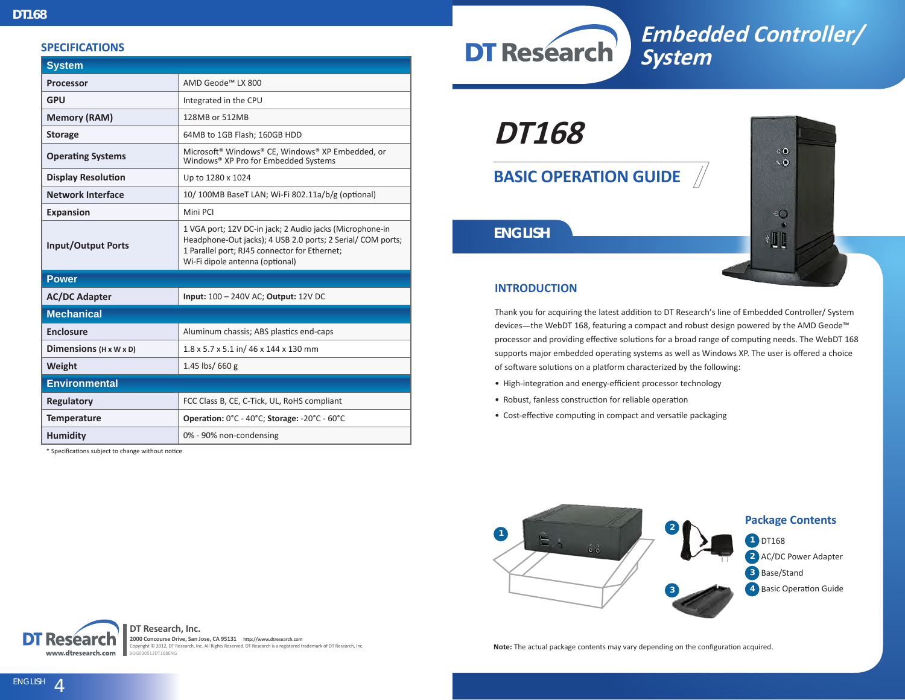#### **SPECIFICATIONS**

| <b>System</b>                      |                                                                                                                                                                                                            |
|------------------------------------|------------------------------------------------------------------------------------------------------------------------------------------------------------------------------------------------------------|
| Processor                          | AMD Geode™ LX 800                                                                                                                                                                                          |
| <b>GPU</b>                         | Integrated in the CPU                                                                                                                                                                                      |
| <b>Memory (RAM)</b>                | 128MB or 512MB                                                                                                                                                                                             |
| <b>Storage</b>                     | 64MB to 1GB Flash; 160GB HDD                                                                                                                                                                               |
| <b>Operating Systems</b>           | Microsoft® Windows® CE, Windows® XP Embedded, or<br>Windows® XP Pro for Embedded Systems                                                                                                                   |
| <b>Display Resolution</b>          | Up to 1280 x 1024                                                                                                                                                                                          |
| <b>Network Interface</b>           | 10/100MB BaseT LAN; Wi-Fi 802.11a/b/g (optional)                                                                                                                                                           |
| <b>Expansion</b>                   | Mini PCI                                                                                                                                                                                                   |
| <b>Input/Output Ports</b>          | 1 VGA port; 12V DC-in jack; 2 Audio jacks (Microphone-in<br>Headphone-Out jacks); 4 USB 2.0 ports; 2 Serial/COM ports;<br>1 Parallel port; RJ45 connector for Ethernet;<br>Wi-Fi dipole antenna (optional) |
| <b>Power</b>                       |                                                                                                                                                                                                            |
| <b>AC/DC Adapter</b>               | Input: 100 - 240V AC; Output: 12V DC                                                                                                                                                                       |
| <b>Mechanical</b>                  |                                                                                                                                                                                                            |
| <b>Enclosure</b>                   | Aluminum chassis; ABS plastics end-caps                                                                                                                                                                    |
| Dimensions $(H \times W \times D)$ | 1.8 x 5.7 x 5.1 in/ 46 x 144 x 130 mm                                                                                                                                                                      |
| Weight                             | 1.45 lbs/ 660 g                                                                                                                                                                                            |
| <b>Environmental</b>               |                                                                                                                                                                                                            |
| <b>Regulatory</b>                  | FCC Class B, CE, C-Tick, UL, RoHS compliant                                                                                                                                                                |
| <b>Temperature</b>                 | Operation: 0°C - 40°C; Storage: -20°C - 60°C                                                                                                                                                               |
| <b>Humidity</b>                    | 0% - 90% non-condensing                                                                                                                                                                                    |

\* Specifications subject to change without notice.



# **Embedded Controller/ System**

**DT168**

**BASIC OPERATION GUIDE**



# *ENGLISH*

# **INTRODUCTION**

Thank you for acquiring the latest addition to DT Research's line of Embedded Controller/ System devices—the WebDT 168, featuring a compact and robust design powered by the AMD Geode™ processor and providing effective solutions for a broad range of computing needs. The WebDT 168 supports major embedded operating systems as well as Windows XP. The user is offered a choice of software solutions on a platform characterized by the following:

- High-integration and energy-efficient processor technology
- Robust, fanless construction for reliable operation
- Cost-effective computing in compact and versatile packaging



**DT Research, Inc.** Resear www.dtresearch.com

**2000 Concourse Drive, San Jose, CA 95131 http://www.dtresearch.com** Copyright © 2012, DT Research, Inc. All Rights Reserved. DT Research is a registered trademark of DT Research, Inc. BOG030512DT168ENG

**Note:** The actual package contents may vary depending on the configuration acquired.

ENGLISH<sub>4</sub>